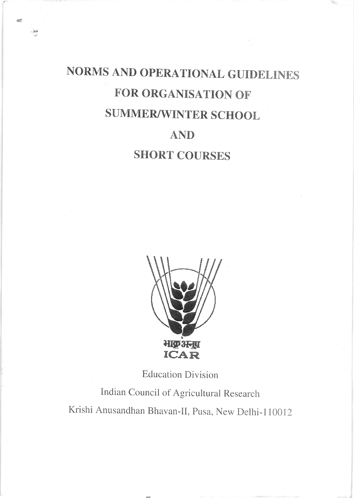# NORMS AND OPERATIONAL GUIDELINES FOR ORGANISATION OF SUMMER/WINTER SCHOOL

aith

### AND

## **SHORT COURSES**



**Education Division** 

Indian Council of Agricultural Research Krishi Anusandhan Bhavan-II, Pusa, New Delhi-110012